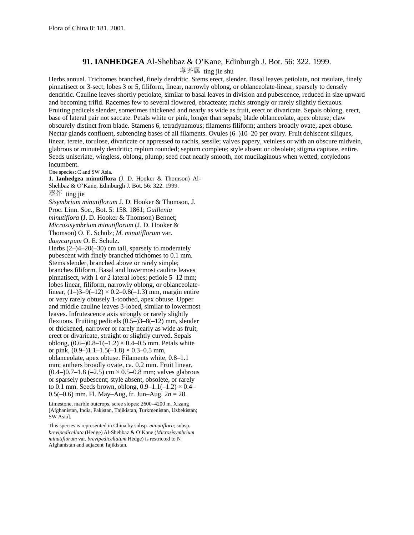## **91. IANHEDGEA** Al-Shehbaz & O'Kane, Edinburgh J. Bot. 56: 322. 1999. 葶芥属 ting jie shu

Herbs annual. Trichomes branched, finely dendritic. Stems erect, slender. Basal leaves petiolate, not rosulate, finely pinnatisect or 3-sect; lobes 3 or 5, filiform, linear, narrowly oblong, or oblanceolate-linear, sparsely to densely dendritic. Cauline leaves shortly petiolate, similar to basal leaves in division and pubescence, reduced in size upward and becoming trifid. Racemes few to several flowered, ebracteate; rachis strongly or rarely slightly flexuous. Fruiting pedicels slender, sometimes thickened and nearly as wide as fruit, erect or divaricate. Sepals oblong, erect, base of lateral pair not saccate. Petals white or pink, longer than sepals; blade oblanceolate, apex obtuse; claw obscurely distinct from blade. Stamens 6, tetradynamous; filaments filiform; anthers broadly ovate, apex obtuse. Nectar glands confluent, subtending bases of all filaments. Ovules (6–)10–20 per ovary. Fruit dehiscent siliques, linear, terete, torulose, divaricate or appressed to rachis, sessile; valves papery, veinless or with an obscure midvein, glabrous or minutely dendritic; replum rounded; septum complete; style absent or obsolete; stigma capitate, entire. Seeds uniseriate, wingless, oblong, plump; seed coat nearly smooth, not mucilaginous when wetted; cotyledons incumbent.

One species: C and SW Asia.

**1. Ianhedgea minutiflora** (J. D. Hooker & Thomson) Al-Shehbaz & O'Kane, Edinburgh J. Bot. 56: 322. 1999.

葶芥 ting jie

*Sisymbrium minutiflorum* J. D. Hooker & Thomson, J.

Proc. Linn. Soc., Bot. 5: 158. 1861; *Guillenia* 

*minutiflora* (J. D. Hooker & Thomson) Bennet;

*Microsisymbrium minutiflorum* (J. D. Hooker & Thomson) O. E. Schulz; *M. minutiflorum* var.

*dasycarpum* O. E. Schulz.

Herbs  $(2-4-20(-30))$  cm tall, sparsely to moderately pubescent with finely branched trichomes to 0.1 mm. Stems slender, branched above or rarely simple; branches filiform. Basal and lowermost cauline leaves pinnatisect, with 1 or 2 lateral lobes; petiole 5–12 mm; lobes linear, filiform, narrowly oblong, or oblanceolatelinear,  $(1-3-9(-12) \times 0.2-0.8(-1.3)$  mm, margin entire or very rarely obtusely 1-toothed, apex obtuse. Upper and middle cauline leaves 3-lobed, similar to lowermost leaves. Infrutescence axis strongly or rarely slightly flexuous. Fruiting pedicels (0.5–)3–8(–12) mm, slender or thickened, narrower or rarely nearly as wide as fruit, erect or divaricate, straight or slightly curved. Sepals oblong,  $(0.6-)0.8-1(-1.2) \times 0.4-0.5$  mm. Petals white or pink,  $(0.9-)1.1-1.5(-1.8) \times 0.3-0.5$  mm, oblanceolate, apex obtuse. Filaments white, 0.8–1.1 mm; anthers broadly ovate, ca. 0.2 mm. Fruit linear,  $(0.4-)0.7-1.8$  (-2.5) cm  $\times$  0.5-0.8 mm; valves glabrous or sparsely pubescent; style absent, obsolete, or rarely to 0.1 mm. Seeds brown, oblong,  $0.9-1.1(-1.2) \times 0.4-$ 0.5(–0.6) mm. Fl. May–Aug, fr. Jun–Aug. 2*n* = 28.

Limestone, marble outcrops, scree slopes; 2600–4200 m. Xizang [Afghanistan, India, Pakistan, Tajikistan, Turkmenistan, Uzbekistan; SW Asia].

This species is represented in China by subsp. *minutiflora*; subsp. *brevipedicellata* (Hedge) Al-Shehbaz & O'Kane (*Microsisymbrium minutiflorum* var. *brevipedicellatum* Hedge) is restricted to N Afghanistan and adjacent Tajikistan.